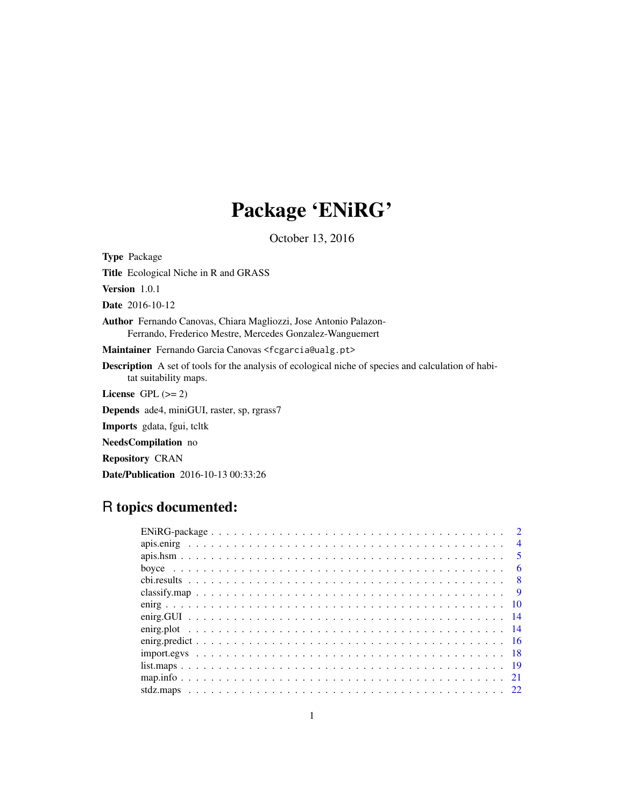# Package 'ENiRG'

October 13, 2016

<span id="page-0-0"></span>Type Package Title Ecological Niche in R and GRASS Version 1.0.1 Date 2016-10-12 Author Fernando Canovas, Chiara Magliozzi, Jose Antonio Palazon-Ferrando, Frederico Mestre, Mercedes Gonzalez-Wanguemert Maintainer Fernando Garcia Canovas <fcgarcia@ualg.pt> Description A set of tools for the analysis of ecological niche of species and calculation of habitat suitability maps. License GPL  $(>= 2)$ Depends ade4, miniGUI, raster, sp, rgrass7 Imports gdata, fgui, tcltk NeedsCompilation no Repository CRAN

# R topics documented:

Date/Publication 2016-10-13 00:33:26

| $\overline{4}$ |
|----------------|
| $\sqrt{5}$     |
| - 6            |
| $\overline{8}$ |
| $\overline{9}$ |
|                |
|                |
|                |
|                |
|                |
|                |
|                |
|                |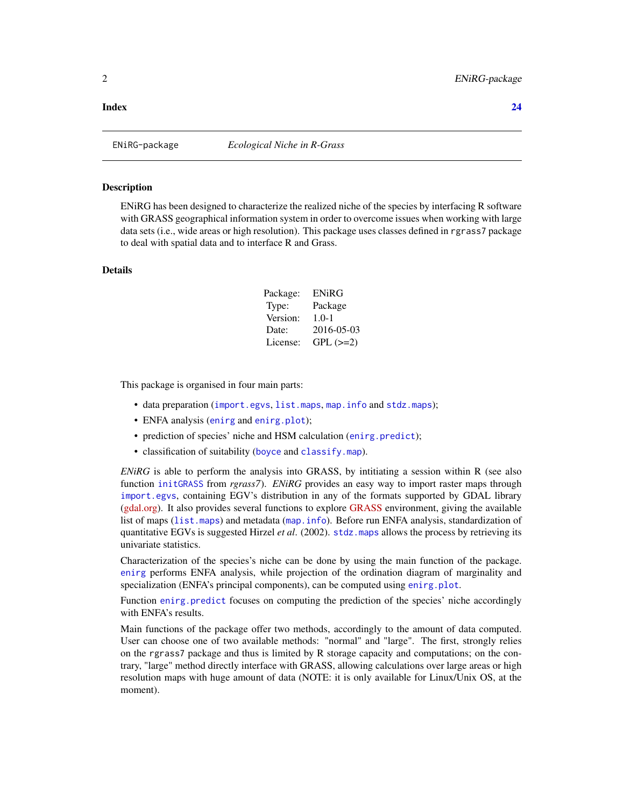#### <span id="page-1-0"></span>**Index** [24](#page-23-0)

ENiRG-package *Ecological Niche in R-Grass*

# Description

ENiRG has been designed to characterize the realized niche of the species by interfacing R software with GRASS geographical information system in order to overcome issues when working with large data sets (i.e., wide areas or high resolution). This package uses classes defined in rgrass7 package to deal with spatial data and to interface R and Grass.

# Details

| Package: | ENiRG      |
|----------|------------|
| Type:    | Package    |
| Version: | $1.0 - 1$  |
| Date:    | 2016-05-03 |
| License: | $GPL (=2)$ |

This package is organised in four main parts:

- data preparation ([import.egvs](#page-17-1), [list.maps](#page-18-1), [map.info](#page-20-1) and [stdz.maps](#page-21-1));
- ENFA analysis ([enirg](#page-9-1) and [enirg.plot](#page-13-1));
- prediction of species' niche and HSM calculation ([enirg.predict](#page-15-1));
- classification of suitability ([boyce](#page-5-1) and [classify.map](#page-8-1)).

*ENiRG* is able to perform the analysis into GRASS, by intitiating a session within R (see also function [initGRASS](#page-0-0) from *rgrass7*). *ENiRG* provides an easy way to import raster maps through [import.egvs](#page-17-1), containing EGV's distribution in any of the formats supported by GDAL library [\(gdal.org\)](http://www.gdal.org). It also provides several functions to explore [GRASS](http://grass.osgeo.org) environment, giving the available list of maps ([list.maps](#page-18-1)) and metadata ([map.info](#page-20-1)). Before run ENFA analysis, standardization of quantitative EGVs is suggested Hirzel *et al*. (2002). [stdz.maps](#page-21-1) allows the process by retrieving its univariate statistics.

Characterization of the species's niche can be done by using the main function of the package. [enirg](#page-9-1) performs ENFA analysis, while projection of the ordination diagram of marginality and specialization (ENFA's principal components), can be computed using [enirg.plot](#page-13-1).

Function enirg. predict focuses on computing the prediction of the species' niche accordingly with ENFA's results.

Main functions of the package offer two methods, accordingly to the amount of data computed. User can choose one of two available methods: "normal" and "large". The first, strongly relies on the rgrass7 package and thus is limited by  $R$  storage capacity and computations; on the contrary, "large" method directly interface with GRASS, allowing calculations over large areas or high resolution maps with huge amount of data (NOTE: it is only available for Linux/Unix OS, at the moment).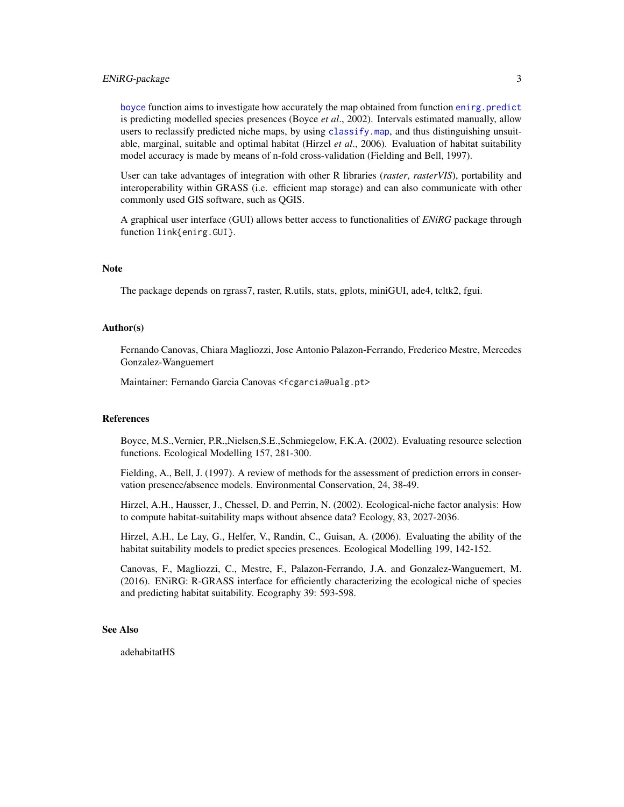# <span id="page-2-0"></span>ENiRG-package 3

[boyce](#page-5-1) function aims to investigate how accurately the map obtained from function [enirg.predict](#page-15-1) is predicting modelled species presences (Boyce *et al*., 2002). Intervals estimated manually, allow users to reclassify predicted niche maps, by using [classify.map](#page-8-1), and thus distinguishing unsuitable, marginal, suitable and optimal habitat (Hirzel *et al*., 2006). Evaluation of habitat suitability model accuracy is made by means of n-fold cross-validation (Fielding and Bell, 1997).

User can take advantages of integration with other R libraries (*raster*, *rasterVIS*), portability and interoperability within GRASS (i.e. efficient map storage) and can also communicate with other commonly used GIS software, such as QGIS.

A graphical user interface (GUI) allows better access to functionalities of *ENiRG* package through function link{enirg.GUI}.

#### Note

The package depends on rgrass7, raster, R.utils, stats, gplots, miniGUI, ade4, tcltk2, fgui.

#### Author(s)

Fernando Canovas, Chiara Magliozzi, Jose Antonio Palazon-Ferrando, Frederico Mestre, Mercedes Gonzalez-Wanguemert

Maintainer: Fernando Garcia Canovas <fcgarcia@ualg.pt>

#### References

Boyce, M.S.,Vernier, P.R.,Nielsen,S.E.,Schmiegelow, F.K.A. (2002). Evaluating resource selection functions. Ecological Modelling 157, 281-300.

Fielding, A., Bell, J. (1997). A review of methods for the assessment of prediction errors in conservation presence/absence models. Environmental Conservation, 24, 38-49.

Hirzel, A.H., Hausser, J., Chessel, D. and Perrin, N. (2002). Ecological-niche factor analysis: How to compute habitat-suitability maps without absence data? Ecology, 83, 2027-2036.

Hirzel, A.H., Le Lay, G., Helfer, V., Randin, C., Guisan, A. (2006). Evaluating the ability of the habitat suitability models to predict species presences. Ecological Modelling 199, 142-152.

Canovas, F., Magliozzi, C., Mestre, F., Palazon-Ferrando, J.A. and Gonzalez-Wanguemert, M. (2016). ENiRG: R-GRASS interface for efficiently characterizing the ecological niche of species and predicting habitat suitability. Ecography 39: 593-598.

# See Also

adehabitatHS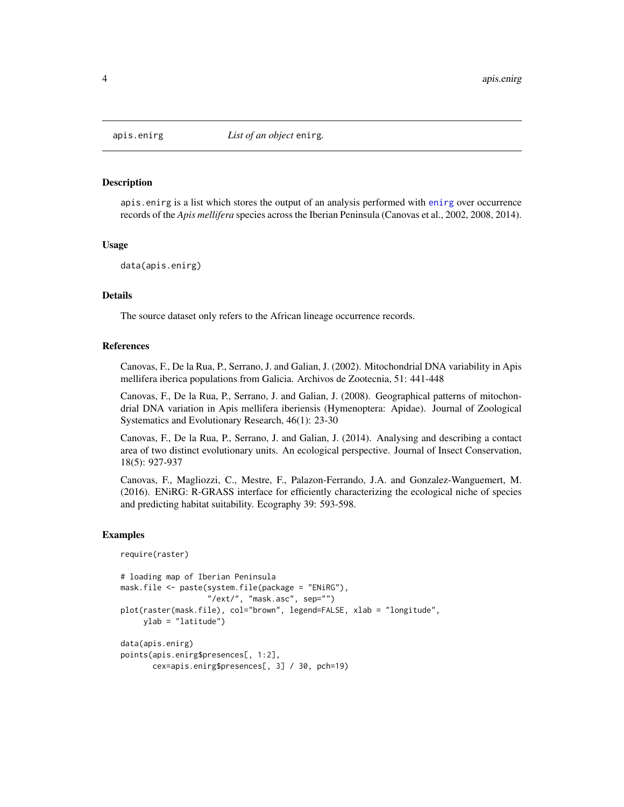<span id="page-3-1"></span><span id="page-3-0"></span>

apis.enirg is a list which stores the output of an analysis performed with [enirg](#page-9-1) over occurrence records of the *Apis mellifera* species across the Iberian Peninsula (Canovas et al., 2002, 2008, 2014).

#### Usage

```
data(apis.enirg)
```
#### Details

The source dataset only refers to the African lineage occurrence records.

#### References

Canovas, F., De la Rua, P., Serrano, J. and Galian, J. (2002). Mitochondrial DNA variability in Apis mellifera iberica populations from Galicia. Archivos de Zootecnia, 51: 441-448

Canovas, F., De la Rua, P., Serrano, J. and Galian, J. (2008). Geographical patterns of mitochondrial DNA variation in Apis mellifera iberiensis (Hymenoptera: Apidae). Journal of Zoological Systematics and Evolutionary Research, 46(1): 23-30

Canovas, F., De la Rua, P., Serrano, J. and Galian, J. (2014). Analysing and describing a contact area of two distinct evolutionary units. An ecological perspective. Journal of Insect Conservation, 18(5): 927-937

Canovas, F., Magliozzi, C., Mestre, F., Palazon-Ferrando, J.A. and Gonzalez-Wanguemert, M. (2016). ENiRG: R-GRASS interface for efficiently characterizing the ecological niche of species and predicting habitat suitability. Ecography 39: 593-598.

#### Examples

```
require(raster)
```

```
# loading map of Iberian Peninsula
mask.file <- paste(system.file(package = "ENiRG"),
                   "/ext/", "mask.asc", sep="")
plot(raster(mask.file), col="brown", legend=FALSE, xlab = "longitude",
    ylab = "latitude")
data(apis.enirg)
points(apis.enirg$presences[, 1:2],
      cex=apis.enirg$presences[, 3] / 30, pch=19)
```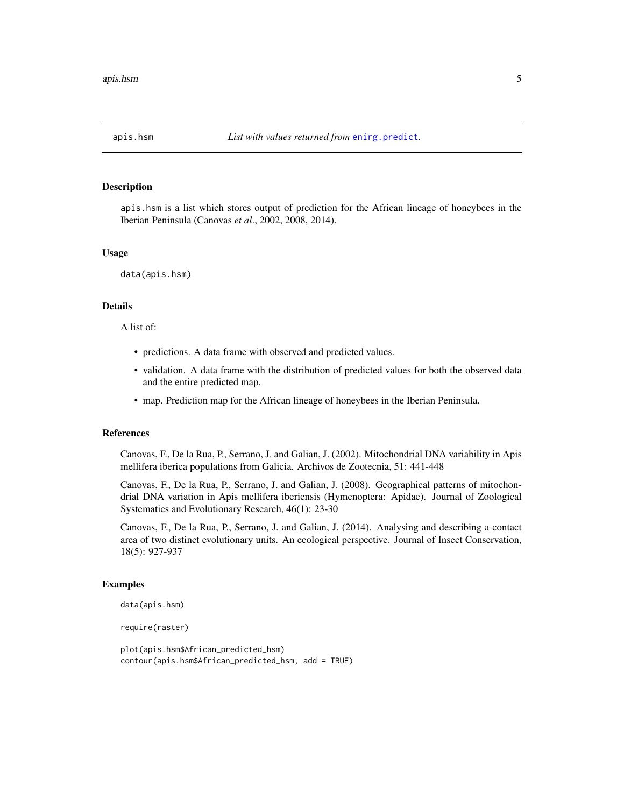<span id="page-4-0"></span>

apis.hsm is a list which stores output of prediction for the African lineage of honeybees in the Iberian Peninsula (Canovas *et al*., 2002, 2008, 2014).

#### Usage

data(apis.hsm)

# Details

A list of:

- predictions. A data frame with observed and predicted values.
- validation. A data frame with the distribution of predicted values for both the observed data and the entire predicted map.
- map. Prediction map for the African lineage of honeybees in the Iberian Peninsula.

#### References

Canovas, F., De la Rua, P., Serrano, J. and Galian, J. (2002). Mitochondrial DNA variability in Apis mellifera iberica populations from Galicia. Archivos de Zootecnia, 51: 441-448

Canovas, F., De la Rua, P., Serrano, J. and Galian, J. (2008). Geographical patterns of mitochondrial DNA variation in Apis mellifera iberiensis (Hymenoptera: Apidae). Journal of Zoological Systematics and Evolutionary Research, 46(1): 23-30

Canovas, F., De la Rua, P., Serrano, J. and Galian, J. (2014). Analysing and describing a contact area of two distinct evolutionary units. An ecological perspective. Journal of Insect Conservation, 18(5): 927-937

#### Examples

```
data(apis.hsm)
```
require(raster)

```
plot(apis.hsm$African_predicted_hsm)
contour(apis.hsm$African_predicted_hsm, add = TRUE)
```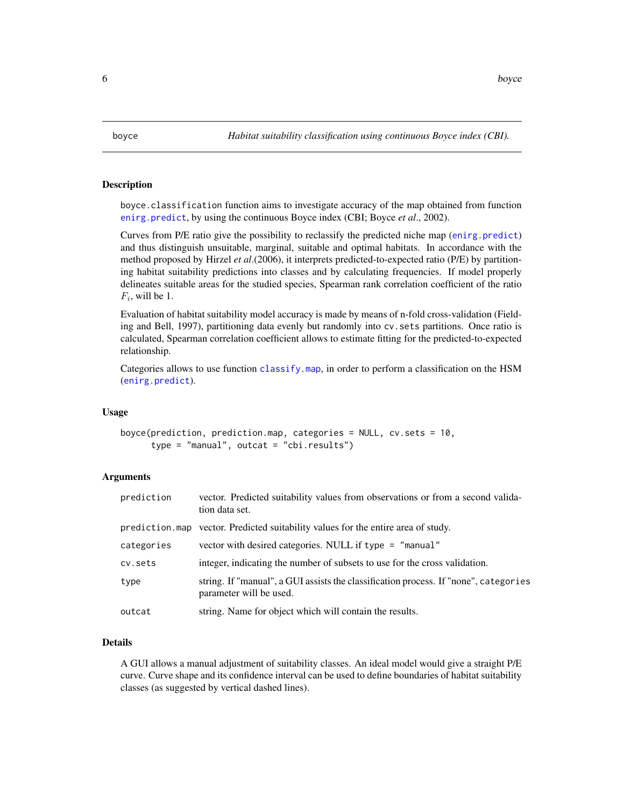<span id="page-5-1"></span><span id="page-5-0"></span>

boyce.classification function aims to investigate accuracy of the map obtained from function [enirg.predict](#page-15-1), by using the continuous Boyce index (CBI; Boyce *et al*., 2002).

Curves from P/E ratio give the possibility to reclassify the predicted niche map ([enirg.predict](#page-15-1)) and thus distinguish unsuitable, marginal, suitable and optimal habitats. In accordance with the method proposed by Hirzel *et al*.(2006), it interprets predicted-to-expected ratio (P/E) by partitioning habitat suitability predictions into classes and by calculating frequencies. If model properly delineates suitable areas for the studied species, Spearman rank correlation coefficient of the ratio  $F_i$ , will be 1.

Evaluation of habitat suitability model accuracy is made by means of n-fold cross-validation (Fielding and Bell, 1997), partitioning data evenly but randomly into cv.sets partitions. Once ratio is calculated, Spearman correlation coefficient allows to estimate fitting for the predicted-to-expected relationship.

Categories allows to use function [classify.map](#page-8-1), in order to perform a classification on the HSM ([enirg.predict](#page-15-1)).

### Usage

```
boyce(prediction, prediction.map, categories = NULL, cv.sets = 10,
      type = "manual", outcat = "cbi.results")
```
# Arguments

| prediction | vector. Predicted suitability values from observations or from a second valida-<br>tion data set.               |
|------------|-----------------------------------------------------------------------------------------------------------------|
|            | prediction.map vector. Predicted suitability values for the entire area of study.                               |
| categories | vector with desired categories. NULL if type = "manual"                                                         |
| cv.sets    | integer, indicating the number of subsets to use for the cross validation.                                      |
| type       | string. If "manual", a GUI assists the classification process. If "none", categories<br>parameter will be used. |
| outcat     | string. Name for object which will contain the results.                                                         |

#### Details

A GUI allows a manual adjustment of suitability classes. An ideal model would give a straight P/E curve. Curve shape and its confidence interval can be used to define boundaries of habitat suitability classes (as suggested by vertical dashed lines).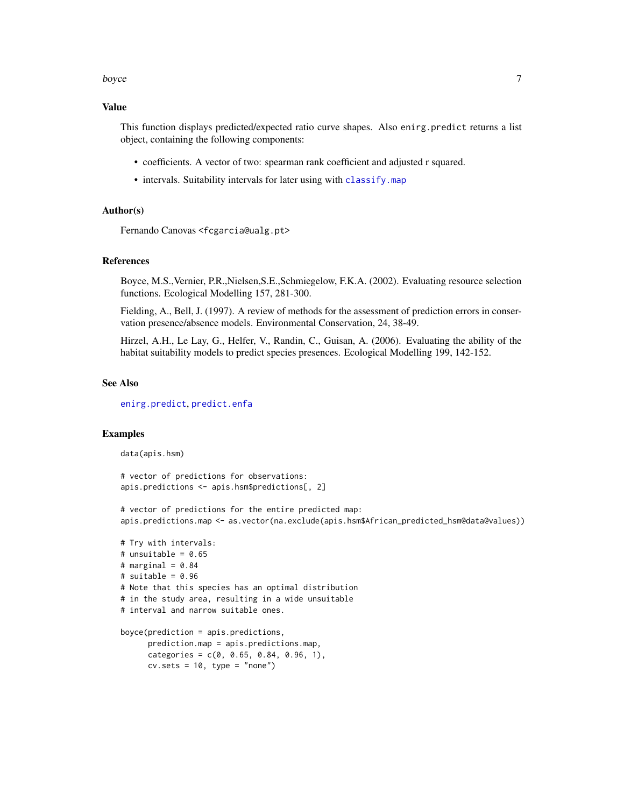#### <span id="page-6-0"></span>boyce **7** and 2008 *boyce* 7

#### Value

This function displays predicted/expected ratio curve shapes. Also enirg.predict returns a list object, containing the following components:

- coefficients. A vector of two: spearman rank coefficient and adjusted r squared.
- intervals. Suitability intervals for later using with [classify.map](#page-8-1)

#### Author(s)

Fernando Canovas <fcgarcia@ualg.pt>

#### References

Boyce, M.S.,Vernier, P.R.,Nielsen,S.E.,Schmiegelow, F.K.A. (2002). Evaluating resource selection functions. Ecological Modelling 157, 281-300.

Fielding, A., Bell, J. (1997). A review of methods for the assessment of prediction errors in conservation presence/absence models. Environmental Conservation, 24, 38-49.

Hirzel, A.H., Le Lay, G., Helfer, V., Randin, C., Guisan, A. (2006). Evaluating the ability of the habitat suitability models to predict species presences. Ecological Modelling 199, 142-152.

#### See Also

[enirg.predict](#page-15-1), [predict.enfa](#page-0-0)

#### Examples

data(apis.hsm)

```
# vector of predictions for observations:
apis.predictions <- apis.hsm$predictions[, 2]
```
# vector of predictions for the entire predicted map: apis.predictions.map <- as.vector(na.exclude(apis.hsm\$African\_predicted\_hsm@data@values))

```
# Try with intervals:
# unsuitable = 0.65# marginal = 0.84# suitable = 0.96# Note that this species has an optimal distribution
# in the study area, resulting in a wide unsuitable
# interval and narrow suitable ones.
boyce(prediction = apis.predictions,
     prediction.map = apis.predictions.map,
     categories = c(0, 0.65, 0.84, 0.96, 1),cv.sets = 10, type = "none")
```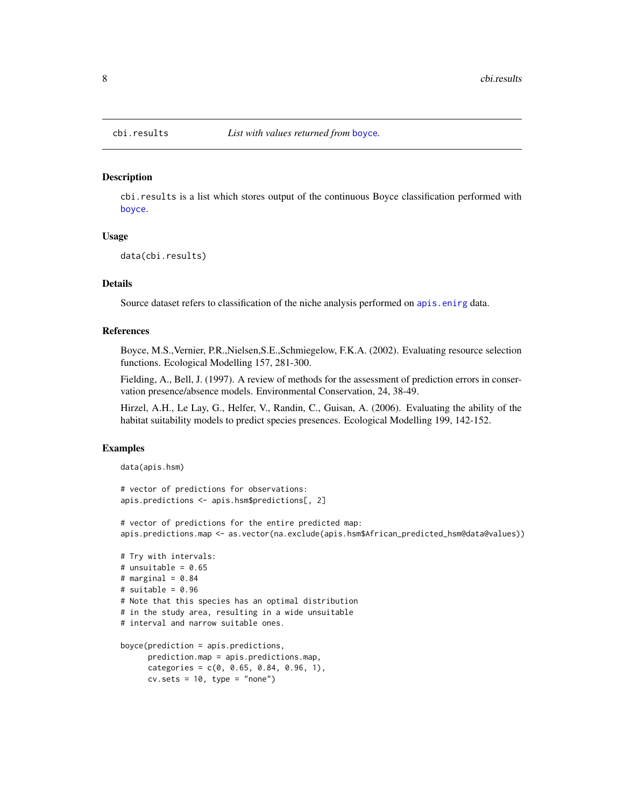cbi.results is a list which stores output of the continuous Boyce classification performed with [boyce](#page-5-1).

#### Usage

data(cbi.results)

#### Details

Source dataset refers to classification of the niche analysis performed on [apis.enirg](#page-3-1) data.

# References

Boyce, M.S.,Vernier, P.R.,Nielsen,S.E.,Schmiegelow, F.K.A. (2002). Evaluating resource selection functions. Ecological Modelling 157, 281-300.

Fielding, A., Bell, J. (1997). A review of methods for the assessment of prediction errors in conservation presence/absence models. Environmental Conservation, 24, 38-49.

Hirzel, A.H., Le Lay, G., Helfer, V., Randin, C., Guisan, A. (2006). Evaluating the ability of the habitat suitability models to predict species presences. Ecological Modelling 199, 142-152.

### Examples

```
data(apis.hsm)
```

```
# vector of predictions for observations:
apis.predictions <- apis.hsm$predictions[, 2]
```
# vector of predictions for the entire predicted map: apis.predictions.map <- as.vector(na.exclude(apis.hsm\$African\_predicted\_hsm@data@values))

```
# Try with intervals:
# unsuitable = 0.65# marginal = 0.84# suitable = 0.96
# Note that this species has an optimal distribution
# in the study area, resulting in a wide unsuitable
# interval and narrow suitable ones.
boyce(prediction = apis.predictions,
```

```
prediction.map = apis.predictions.map,
categories = c(0, 0.65, 0.84, 0.96, 1),cv.sets = 10, type = "none")
```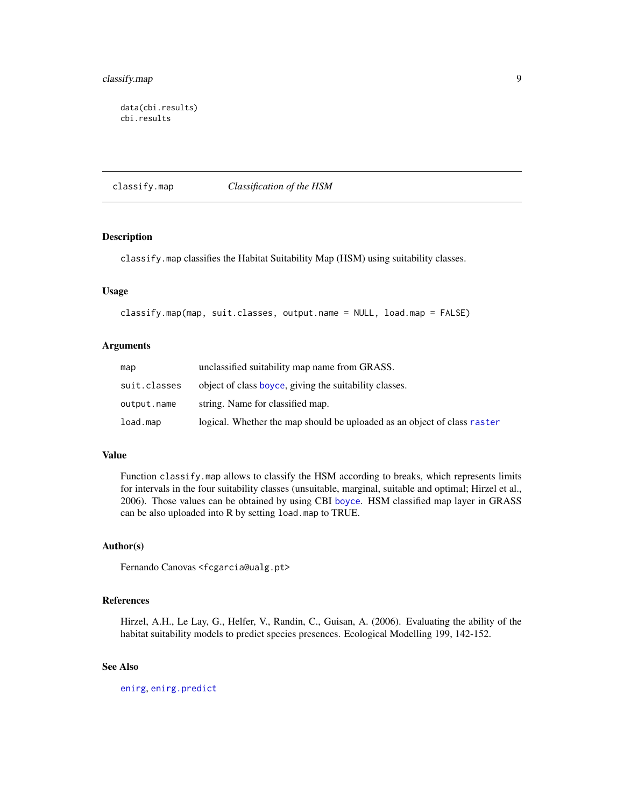```
data(cbi.results)
cbi.results
```
<span id="page-8-1"></span>classify.map *Classification of the HSM*

# Description

classify.map classifies the Habitat Suitability Map (HSM) using suitability classes.

# Usage

```
classify.map(map, suit.classes, output.name = NULL, load.map = FALSE)
```
#### Arguments

| map          | unclassified suitability map name from GRASS.                            |
|--------------|--------------------------------------------------------------------------|
| suit.classes | object of class boyce, giving the suitability classes.                   |
| output.name  | string. Name for classified map.                                         |
| load.map     | logical. Whether the map should be uploaded as an object of class raster |

# Value

Function classify.map allows to classify the HSM according to breaks, which represents limits for intervals in the four suitability classes (unsuitable, marginal, suitable and optimal; Hirzel et al., 2006). Those values can be obtained by using CBI [boyce](#page-5-1). HSM classified map layer in GRASS can be also uploaded into R by setting load.map to TRUE.

#### Author(s)

Fernando Canovas <fcgarcia@ualg.pt>

# References

Hirzel, A.H., Le Lay, G., Helfer, V., Randin, C., Guisan, A. (2006). Evaluating the ability of the habitat suitability models to predict species presences. Ecological Modelling 199, 142-152.

# See Also

[enirg](#page-9-1), [enirg.predict](#page-15-1)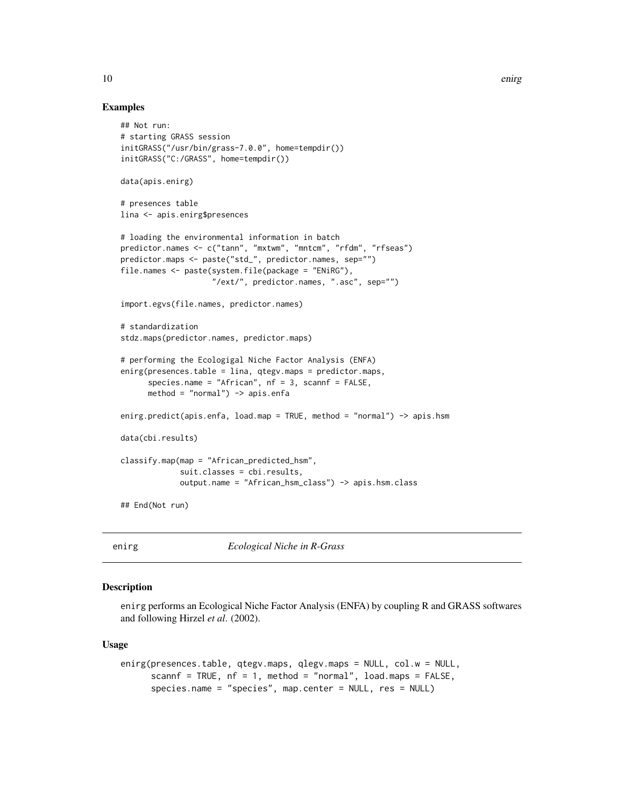#### Examples

```
## Not run:
# starting GRASS session
initGRASS("/usr/bin/grass-7.0.0", home=tempdir())
initGRASS("C:/GRASS", home=tempdir())
data(apis.enirg)
# presences table
lina <- apis.enirg$presences
# loading the environmental information in batch
predictor.names <- c("tann", "mxtwm", "mntcm", "rfdm", "rfseas")
predictor.maps <- paste("std_", predictor.names, sep="")
file.names <- paste(system.file(package = "ENiRG"),
                    "/ext/", predictor.names, ".asc", sep="")
import.egvs(file.names, predictor.names)
# standardization
stdz.maps(predictor.names, predictor.maps)
# performing the Ecologigal Niche Factor Analysis (ENFA)
enirg(presences.table = lina, qtegv.maps = predictor.maps,
      species.name = "African", nf = 3, scannf = FALSE,
     method = "normal") -> apis.enfa
enirg.predict(apis.enfa, load.map = TRUE, method = "normal") -> apis.hsm
data(cbi.results)
classify.map(map = "African_predicted_hsm",
             suit.classes = cbi.results,
             output.name = "African_hsm_class") -> apis.hsm.class
```
## End(Not run)

<span id="page-9-1"></span>enirg *Ecological Niche in R-Grass*

# Description

enirg performs an Ecological Niche Factor Analysis (ENFA) by coupling R and GRASS softwares and following Hirzel *et al*. (2002).

#### Usage

```
enirg(presences.table, qtegv.maps, qlegv.maps = NULL, col.w = NULL,
     scannf = TRUE, nf = 1, method = "normal", load.maps = FALSE,
      species.name = "species", map.center = NULL, res = NULL)
```
<span id="page-9-0"></span>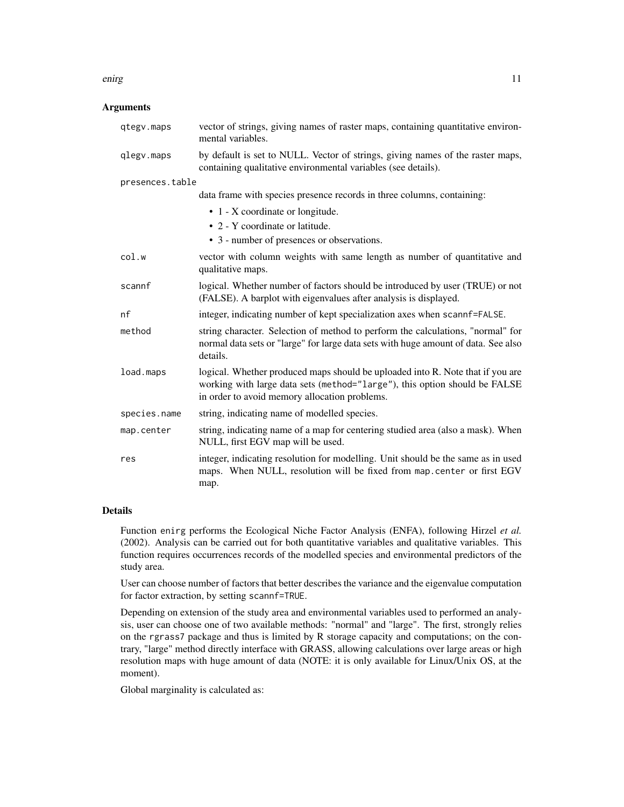#### enirg and the set of the set of the set of the set of the set of the set of the set of the set of the set of the set of the set of the set of the set of the set of the set of the set of the set of the set of the set of the

### **Arguments**

| qtegv.maps      | vector of strings, giving names of raster maps, containing quantitative environ-<br>mental variables.                                                                                                         |
|-----------------|---------------------------------------------------------------------------------------------------------------------------------------------------------------------------------------------------------------|
| qlegv.maps      | by default is set to NULL. Vector of strings, giving names of the raster maps,<br>containing qualitative environmental variables (see details).                                                               |
| presences.table |                                                                                                                                                                                                               |
|                 | data frame with species presence records in three columns, containing:                                                                                                                                        |
|                 | • 1 - X coordinate or longitude.                                                                                                                                                                              |
|                 | • 2 - Y coordinate or latitude.                                                                                                                                                                               |
|                 | • 3 - number of presences or observations.                                                                                                                                                                    |
| col.w           | vector with column weights with same length as number of quantitative and<br>qualitative maps.                                                                                                                |
| scannf          | logical. Whether number of factors should be introduced by user (TRUE) or not<br>(FALSE). A barplot with eigenvalues after analysis is displayed.                                                             |
| nf              | integer, indicating number of kept specialization axes when scannf=FALSE.                                                                                                                                     |
| method          | string character. Selection of method to perform the calculations, "normal" for<br>normal data sets or "large" for large data sets with huge amount of data. See also<br>details.                             |
| load.maps       | logical. Whether produced maps should be uploaded into R. Note that if you are<br>working with large data sets (method="large"), this option should be FALSE<br>in order to avoid memory allocation problems. |
| species.name    | string, indicating name of modelled species.                                                                                                                                                                  |
| map.center      | string, indicating name of a map for centering studied area (also a mask). When<br>NULL, first EGV map will be used.                                                                                          |
| res             | integer, indicating resolution for modelling. Unit should be the same as in used<br>maps. When NULL, resolution will be fixed from map. center or first EGV<br>map.                                           |

# Details

Function enirg performs the Ecological Niche Factor Analysis (ENFA), following Hirzel *et al.* (2002). Analysis can be carried out for both quantitative variables and qualitative variables. This function requires occurrences records of the modelled species and environmental predictors of the study area.

User can choose number of factors that better describes the variance and the eigenvalue computation for factor extraction, by setting scannf=TRUE.

Depending on extension of the study area and environmental variables used to performed an analysis, user can choose one of two available methods: "normal" and "large". The first, strongly relies on the rgrass7 package and thus is limited by R storage capacity and computations; on the contrary, "large" method directly interface with GRASS, allowing calculations over large areas or high resolution maps with huge amount of data (NOTE: it is only available for Linux/Unix OS, at the moment).

Global marginality is calculated as: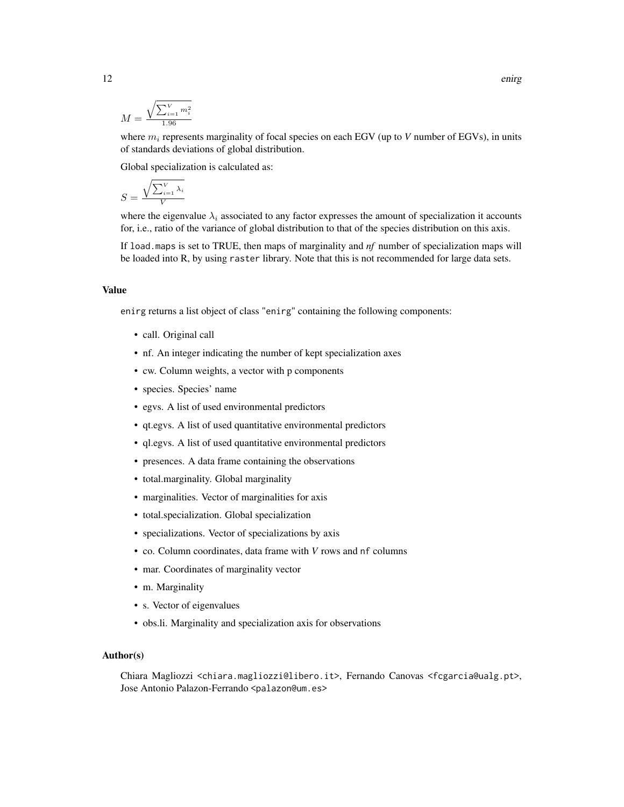$$
M = \frac{\sqrt{\sum_{i=1}^{V} m_i^2}}{1.96}
$$

where  $m_i$  represents marginality of focal species on each EGV (up to  $V$  number of EGVs), in units of standards deviations of global distribution.

Global specialization is calculated as:

$$
S = \frac{\sqrt{\sum_{i=1}^{V} \lambda_i}}{V}
$$

where the eigenvalue  $\lambda_i$  associated to any factor expresses the amount of specialization it accounts for, i.e., ratio of the variance of global distribution to that of the species distribution on this axis.

If load.maps is set to TRUE, then maps of marginality and *nf* number of specialization maps will be loaded into R, by using raster library. Note that this is not recommended for large data sets.

#### Value

enirg returns a list object of class "enirg" containing the following components:

- call. Original call
- nf. An integer indicating the number of kept specialization axes
- cw. Column weights, a vector with p components
- species. Species' name
- egvs. A list of used environmental predictors
- qt.egvs. A list of used quantitative environmental predictors
- ql.egvs. A list of used quantitative environmental predictors
- presences. A data frame containing the observations
- total.marginality. Global marginality
- marginalities. Vector of marginalities for axis
- total.specialization. Global specialization
- specializations. Vector of specializations by axis
- co. Column coordinates, data frame with *V* rows and nf columns
- mar. Coordinates of marginality vector
- m. Marginality
- s. Vector of eigenvalues
- obs.li. Marginality and specialization axis for observations

#### Author(s)

Chiara Magliozzi <chiara.magliozzi@libero.it>, Fernando Canovas <fcgarcia@ualg.pt>, Jose Antonio Palazon-Ferrando <palazon@um.es>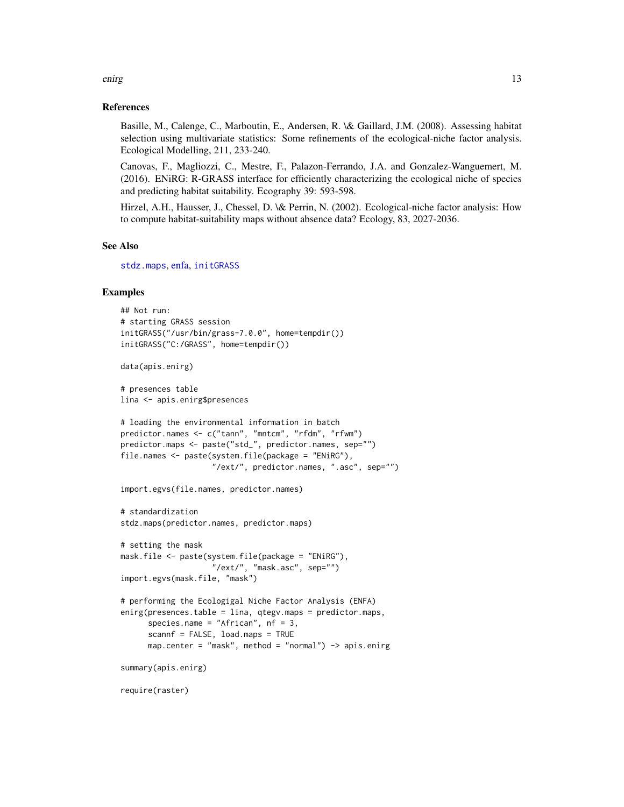#### References

Basille, M., Calenge, C., Marboutin, E., Andersen, R. \& Gaillard, J.M. (2008). Assessing habitat selection using multivariate statistics: Some refinements of the ecological-niche factor analysis. Ecological Modelling, 211, 233-240.

Canovas, F., Magliozzi, C., Mestre, F., Palazon-Ferrando, J.A. and Gonzalez-Wanguemert, M. (2016). ENiRG: R-GRASS interface for efficiently characterizing the ecological niche of species and predicting habitat suitability. Ecography 39: 593-598.

Hirzel, A.H., Hausser, J., Chessel, D. \& Perrin, N. (2002). Ecological-niche factor analysis: How to compute habitat-suitability maps without absence data? Ecology, 83, 2027-2036.

# See Also

[stdz.maps](#page-21-1), [enfa,](#page-0-0) [initGRASS](#page-0-0)

### Examples

```
## Not run:
# starting GRASS session
initGRASS("/usr/bin/grass-7.0.0", home=tempdir())
initGRASS("C:/GRASS", home=tempdir())
data(apis.enirg)
# presences table
lina <- apis.enirg$presences
# loading the environmental information in batch
predictor.names <- c("tann", "mntcm", "rfdm", "rfwm")
predictor.maps <- paste("std_", predictor.names, sep="")
file.names <- paste(system.file(package = "ENiRG"),
                    "/ext/", predictor.names, ".asc", sep="")
import.egvs(file.names, predictor.names)
# standardization
stdz.maps(predictor.names, predictor.maps)
# setting the mask
mask.file <- paste(system.file(package = "ENiRG"),
                    "/ext/", "mask.asc", sep="")
import.egvs(mask.file, "mask")
# performing the Ecologigal Niche Factor Analysis (ENFA)
enirg(presences.table = lina, qtegv.maps = predictor.maps,
      species.name = "African", nf = 3,
      scannf = FALSE, load.maps = TRUE
     map.center = "mask", method = "normal") -> apis.enirg
summary(apis.enirg)
require(raster)
```
<span id="page-12-0"></span>enirg and the set of the set of the set of the set of the set of the set of the set of the set of the set of the set of the set of the set of the set of the set of the set of the set of the set of the set of the set of the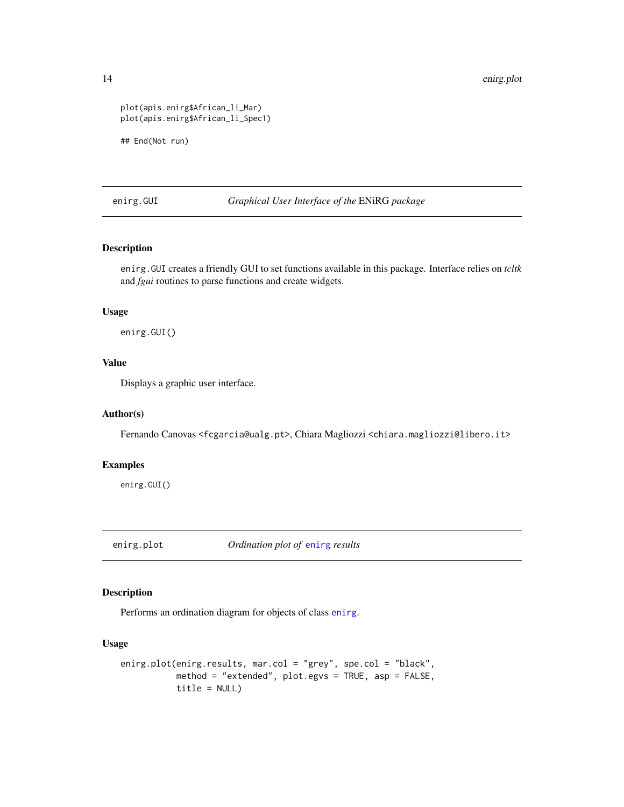```
plot(apis.enirg$African_li_Mar)
plot(apis.enirg$African_li_Spec1)
## End(Not run)
```
enirg.GUI *Graphical User Interface of the* ENiRG *package*

# Description

enirg.GUI creates a friendly GUI to set functions available in this package. Interface relies on *tcltk* and *fgui* routines to parse functions and create widgets.

#### Usage

enirg.GUI()

# Value

Displays a graphic user interface.

# Author(s)

Fernando Canovas <fcgarcia@ualg.pt>, Chiara Magliozzi <chiara.magliozzi@libero.it>

# Examples

enirg.GUI()

<span id="page-13-1"></span>enirg.plot *Ordination plot of* [enirg](#page-9-1) *results*

#### Description

Performs an ordination diagram for objects of class [enirg](#page-9-1).

# Usage

```
enirg.plot(enirg.results, mar.col = "grey", spe.col = "black",
          method = "extended", plot.egvs = TRUE, asp = FALSE,
          title = NULL)
```
<span id="page-13-0"></span>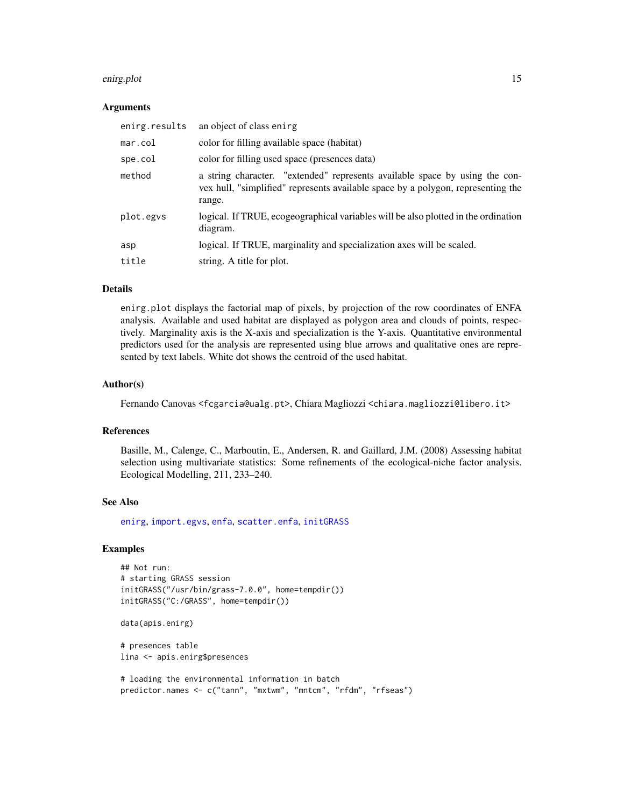#### <span id="page-14-0"></span>enirg.plot 15

#### Arguments

| enirg.results | an object of class enirg                                                                                                                                                  |
|---------------|---------------------------------------------------------------------------------------------------------------------------------------------------------------------------|
| mar.col       | color for filling available space (habitat)                                                                                                                               |
| spe.col       | color for filling used space (presences data)                                                                                                                             |
| method        | a string character. "extended" represents available space by using the con-<br>vex hull, "simplified" represents available space by a polygon, representing the<br>range. |
| plot.egys     | logical. If TRUE, ecogeographical variables will be also plotted in the ordination<br>diagram.                                                                            |
| asp           | logical. If TRUE, marginality and specialization axes will be scaled.                                                                                                     |
| title         | string. A title for plot.                                                                                                                                                 |

# **Details**

enirg.plot displays the factorial map of pixels, by projection of the row coordinates of ENFA analysis. Available and used habitat are displayed as polygon area and clouds of points, respectively. Marginality axis is the X-axis and specialization is the Y-axis. Quantitative environmental predictors used for the analysis are represented using blue arrows and qualitative ones are represented by text labels. White dot shows the centroid of the used habitat.

#### Author(s)

Fernando Canovas <fcgarcia@ualg.pt>, Chiara Magliozzi <chiara.magliozzi@libero.it>

# References

Basille, M., Calenge, C., Marboutin, E., Andersen, R. and Gaillard, J.M. (2008) Assessing habitat selection using multivariate statistics: Some refinements of the ecological-niche factor analysis. Ecological Modelling, 211, 233–240.

# See Also

[enirg](#page-9-1), [import.egvs](#page-17-1), [enfa](#page-0-0), [scatter.enfa](#page-0-0), [initGRASS](#page-0-0)

### Examples

```
## Not run:
# starting GRASS session
initGRASS("/usr/bin/grass-7.0.0", home=tempdir())
initGRASS("C:/GRASS", home=tempdir())
```

```
data(apis.enirg)
```

```
# presences table
lina <- apis.enirg$presences
```

```
# loading the environmental information in batch
predictor.names <- c("tann", "mxtwm", "mntcm", "rfdm", "rfseas")
```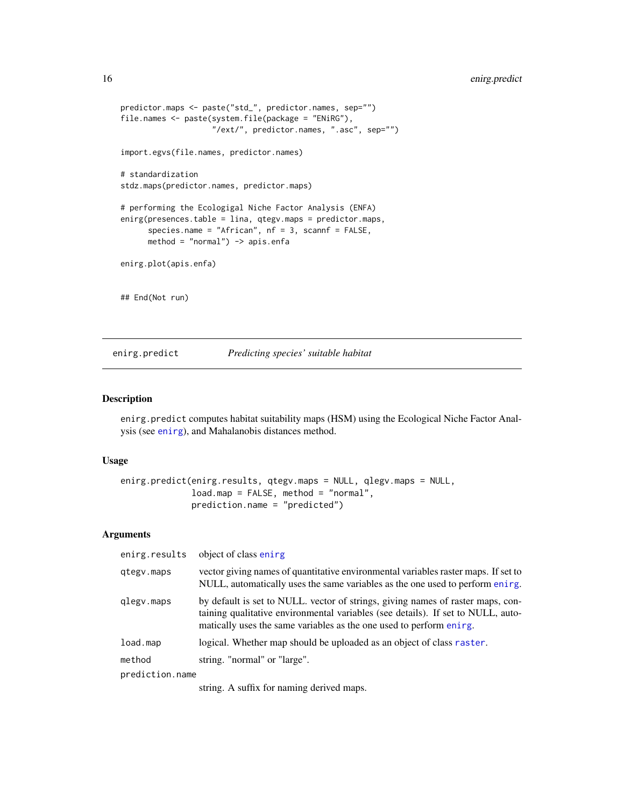```
predictor.maps <- paste("std_", predictor.names, sep="")
file.names <- paste(system.file(package = "ENiRG"),
                    "/ext/", predictor.names, ".asc", sep="")
import.egvs(file.names, predictor.names)
# standardization
stdz.maps(predictor.names, predictor.maps)
# performing the Ecologigal Niche Factor Analysis (ENFA)
enirg(presences.table = lina, qtegv.maps = predictor.maps,
      species.name = "African", nf = 3, scannf = FALSE,
      method = "normal") \rightarrow apis. enfaenirg.plot(apis.enfa)
## End(Not run)
```
# <span id="page-15-1"></span>enirg.predict *Predicting species' suitable habitat*

### Description

enirg.predict computes habitat suitability maps (HSM) using the Ecological Niche Factor Analysis (see [enirg](#page-9-1)), and Mahalanobis distances method.

#### Usage

```
enirg.predict(enirg.results, qtegv.maps = NULL, qlegv.maps = NULL,
              load.map = FALSE, method = "normal",
              prediction.name = "predicted")
```
#### Arguments

| enirg.results   | object of class enirg                                                                                                                                                                                                                      |
|-----------------|--------------------------------------------------------------------------------------------------------------------------------------------------------------------------------------------------------------------------------------------|
| qtegy.maps      | vector giving names of quantitative environmental variables raster maps. If set to<br>NULL, automatically uses the same variables as the one used to perform ening.                                                                        |
| glegy.maps      | by default is set to NULL. vector of strings, giving names of raster maps, con-<br>taining qualitative environmental variables (see details). If set to NULL, auto-<br>matically uses the same variables as the one used to perform ening. |
| load.map        | logical. Whether map should be uploaded as an object of class raster.                                                                                                                                                                      |
| method          | string. "normal" or "large".                                                                                                                                                                                                               |
| prediction.name |                                                                                                                                                                                                                                            |
|                 | atalan - Anal Confeanantan Jedised assoc                                                                                                                                                                                                   |

string. A suffix for naming derived maps.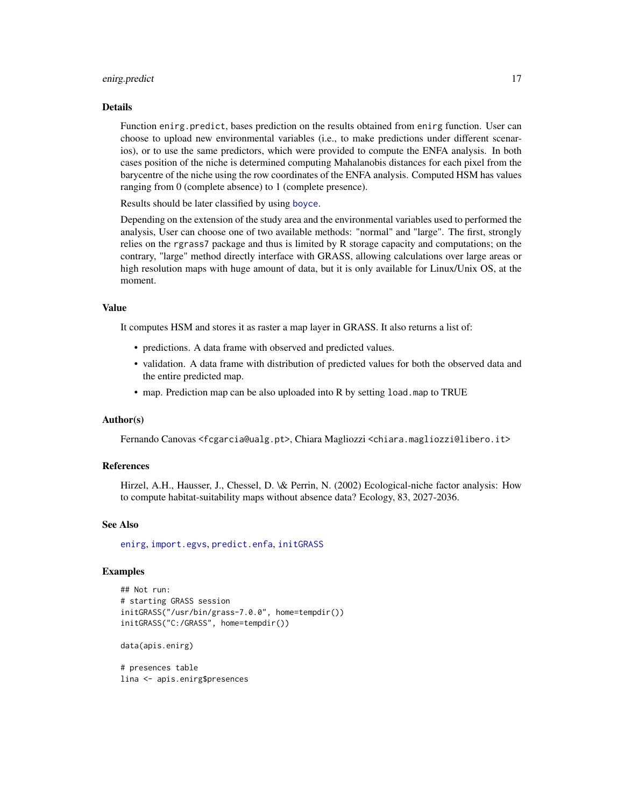#### <span id="page-16-0"></span>enirg.predict 17

#### Details

Function enirg.predict, bases prediction on the results obtained from enirg function. User can choose to upload new environmental variables (i.e., to make predictions under different scenarios), or to use the same predictors, which were provided to compute the ENFA analysis. In both cases position of the niche is determined computing Mahalanobis distances for each pixel from the barycentre of the niche using the row coordinates of the ENFA analysis. Computed HSM has values ranging from 0 (complete absence) to 1 (complete presence).

Results should be later classified by using [boyce](#page-5-1).

Depending on the extension of the study area and the environmental variables used to performed the analysis, User can choose one of two available methods: "normal" and "large". The first, strongly relies on the rgrass7 package and thus is limited by R storage capacity and computations; on the contrary, "large" method directly interface with GRASS, allowing calculations over large areas or high resolution maps with huge amount of data, but it is only available for Linux/Unix OS, at the moment.

# Value

It computes HSM and stores it as raster a map layer in GRASS. It also returns a list of:

- predictions. A data frame with observed and predicted values.
- validation. A data frame with distribution of predicted values for both the observed data and the entire predicted map.
- map. Prediction map can be also uploaded into R by setting load.map to TRUE

# Author(s)

Fernando Canovas <fcgarcia@ualg.pt>, Chiara Magliozzi <chiara.magliozzi@libero.it>

#### References

Hirzel, A.H., Hausser, J., Chessel, D. \& Perrin, N. (2002) Ecological-niche factor analysis: How to compute habitat-suitability maps without absence data? Ecology, 83, 2027-2036.

#### See Also

[enirg](#page-9-1), [import.egvs](#page-17-1), [predict.enfa](#page-0-0), [initGRASS](#page-0-0)

#### Examples

```
## Not run:
# starting GRASS session
initGRASS("/usr/bin/grass-7.0.0", home=tempdir())
initGRASS("C:/GRASS", home=tempdir())
```
data(apis.enirg)

# presences table lina <- apis.enirg\$presences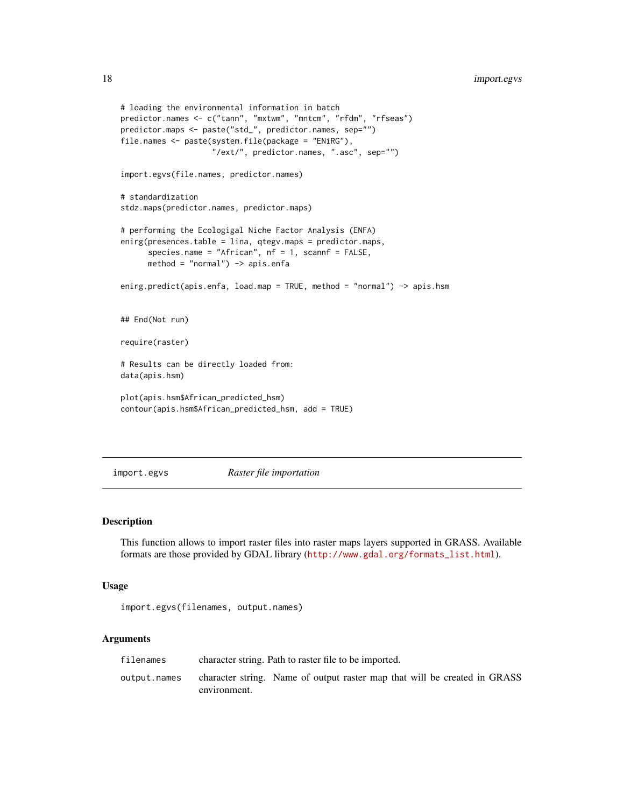```
# loading the environmental information in batch
predictor.names <- c("tann", "mxtwm", "mntcm", "rfdm", "rfseas")
predictor.maps <- paste("std_", predictor.names, sep="")
file.names <- paste(system.file(package = "ENiRG"),
                    "/ext/", predictor.names, ".asc", sep="")
import.egvs(file.names, predictor.names)
# standardization
stdz.maps(predictor.names, predictor.maps)
# performing the Ecologigal Niche Factor Analysis (ENFA)
enirg(presences.table = lina, qtegv.maps = predictor.maps,
      species.name = "African", nf = 1, scannf = FALSE,
     method = "normal") -> apis.enfa
enirg.predict(apis.enfa, load.map = TRUE, method = "normal") -> apis.hsm
## End(Not run)
require(raster)
# Results can be directly loaded from:
data(apis.hsm)
plot(apis.hsm$African_predicted_hsm)
contour(apis.hsm$African_predicted_hsm, add = TRUE)
```
<span id="page-17-1"></span>import.egvs *Raster file importation*

# Description

This function allows to import raster files into raster maps layers supported in GRASS. Available formats are those provided by GDAL library ([http://www.gdal.org/formats\\_list.html](http://www.gdal.org/formats_list.html)).

#### Usage

import.egvs(filenames, output.names)

# Arguments

| filenames    | character string. Path to raster file to be imported.                                     |
|--------------|-------------------------------------------------------------------------------------------|
| output.names | character string. Name of output raster map that will be created in GRASS<br>environment. |

<span id="page-17-0"></span>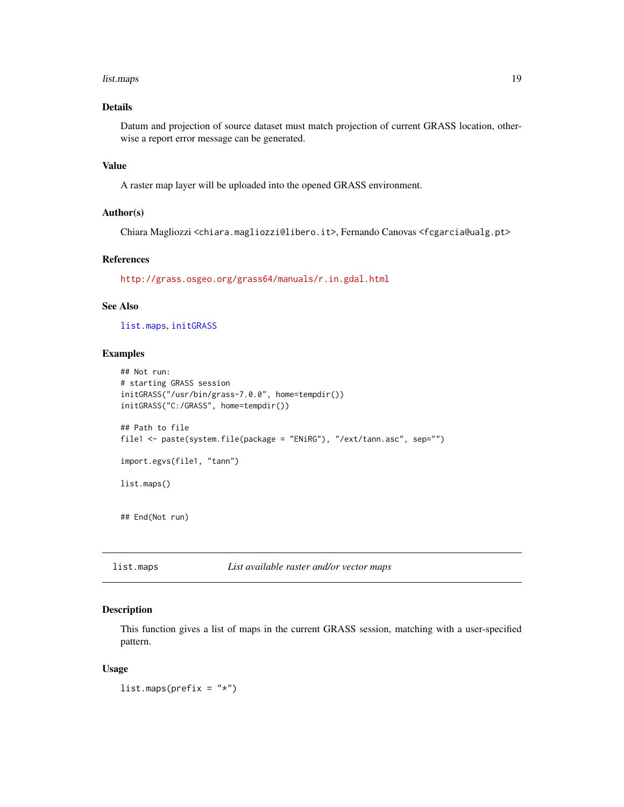#### <span id="page-18-0"></span>list.maps 19

# Details

Datum and projection of source dataset must match projection of current GRASS location, otherwise a report error message can be generated.

#### Value

A raster map layer will be uploaded into the opened GRASS environment.

# Author(s)

Chiara Magliozzi <chiara.magliozzi@libero.it>, Fernando Canovas <fcgarcia@ualg.pt>

# References

<http://grass.osgeo.org/grass64/manuals/r.in.gdal.html>

#### See Also

[list.maps](#page-18-1), [initGRASS](#page-0-0)

# Examples

```
## Not run:
# starting GRASS session
initGRASS("/usr/bin/grass-7.0.0", home=tempdir())
initGRASS("C:/GRASS", home=tempdir())
## Path to file
file1 <- paste(system.file(package = "ENiRG"), "/ext/tann.asc", sep="")
import.egvs(file1, "tann")
list.maps()
## End(Not run)
```
<span id="page-18-1"></span>list.maps *List available raster and/or vector maps*

#### Description

This function gives a list of maps in the current GRASS session, matching with a user-specified pattern.

#### Usage

 $list.maps(prefix = "*")$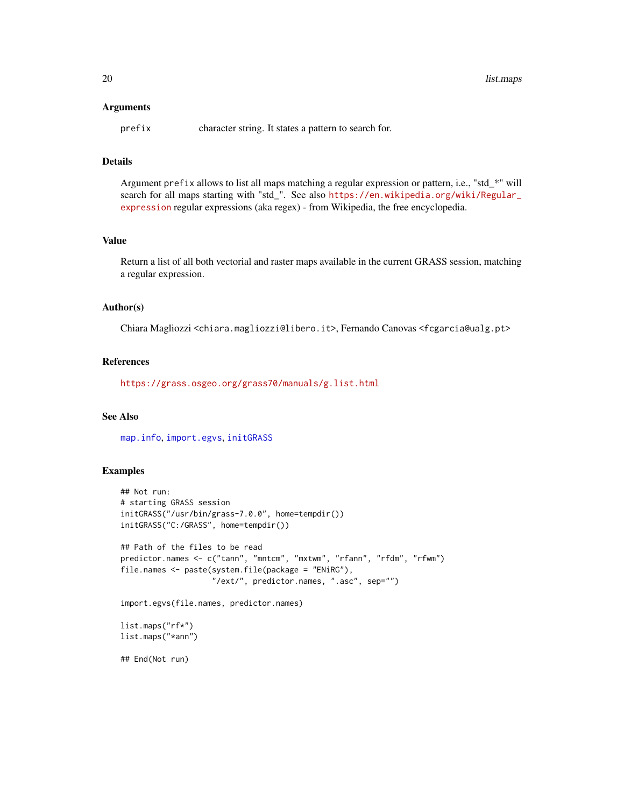#### <span id="page-19-0"></span>**Arguments**

prefix character string. It states a pattern to search for.

# Details

Argument prefix allows to list all maps matching a regular expression or pattern, i.e., "std\_\*" will search for all maps starting with "std\_". See also [https://en.wikipedia.org/wiki/Regular\\_](https://en.wikipedia.org/wiki/Regular_expression) [expression](https://en.wikipedia.org/wiki/Regular_expression) regular expressions (aka regex) - from Wikipedia, the free encyclopedia.

# Value

Return a list of all both vectorial and raster maps available in the current GRASS session, matching a regular expression.

#### Author(s)

Chiara Magliozzi <chiara.magliozzi@libero.it>, Fernando Canovas <fcgarcia@ualg.pt>

#### References

<https://grass.osgeo.org/grass70/manuals/g.list.html>

# See Also

[map.info](#page-20-1), [import.egvs](#page-17-1), [initGRASS](#page-0-0)

# Examples

```
## Not run:
# starting GRASS session
initGRASS("/usr/bin/grass-7.0.0", home=tempdir())
initGRASS("C:/GRASS", home=tempdir())
## Path of the files to be read
predictor.names <- c("tann", "mntcm", "mxtwm", "rfann", "rfdm", "rfwm")
file.names <- paste(system.file(package = "ENiRG"),
                    "/ext/", predictor.names, ".asc", sep="")
import.egvs(file.names, predictor.names)
list.maps("rf*")
list.maps("*ann")
```
## End(Not run)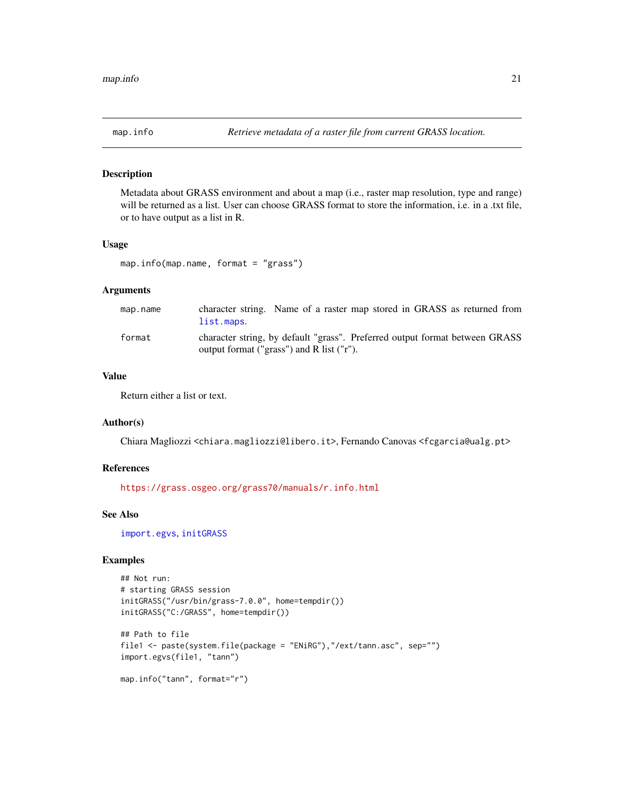<span id="page-20-1"></span><span id="page-20-0"></span>

Metadata about GRASS environment and about a map (i.e., raster map resolution, type and range) will be returned as a list. User can choose GRASS format to store the information, i.e. in a .txt file, or to have output as a list in R.

#### Usage

```
map.info(map.name, format = "grass")
```
# Arguments

| map.name | character string. Name of a raster map stored in GRASS as returned from<br>list.maps. |
|----------|---------------------------------------------------------------------------------------|
| format   | character string, by default "grass". Preferred output format between GRASS           |
|          | output format ("grass") and R list ("r").                                             |

# Value

Return either a list or text.

#### Author(s)

Chiara Magliozzi <chiara.magliozzi@libero.it>, Fernando Canovas <fcgarcia@ualg.pt>

#### References

<https://grass.osgeo.org/grass70/manuals/r.info.html>

#### See Also

[import.egvs](#page-17-1), [initGRASS](#page-0-0)

# Examples

```
## Not run:
# starting GRASS session
initGRASS("/usr/bin/grass-7.0.0", home=tempdir())
initGRASS("C:/GRASS", home=tempdir())
## Path to file
file1 <- paste(system.file(package = "ENiRG"),"/ext/tann.asc", sep="")
import.egvs(file1, "tann")
map.info("tann", format="r")
```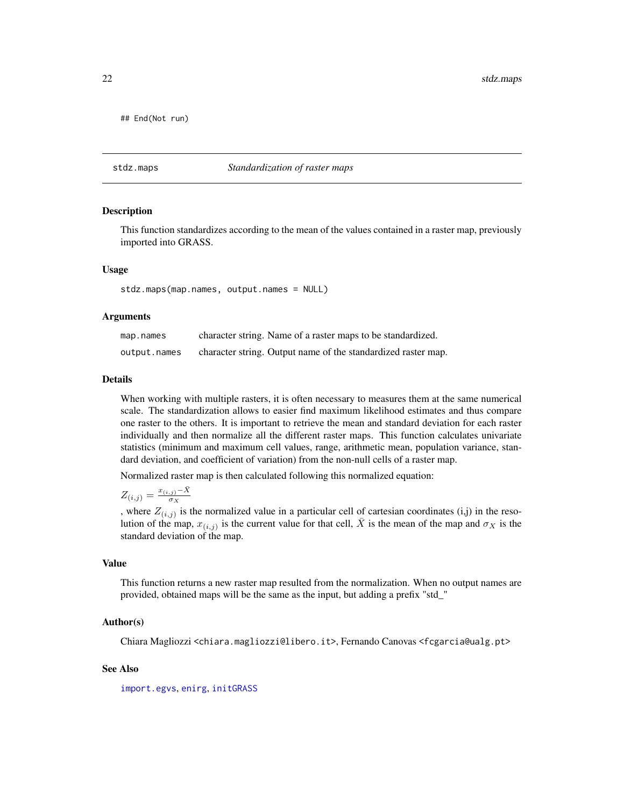<span id="page-21-0"></span>## End(Not run)

#### <span id="page-21-1"></span>stdz.maps *Standardization of raster maps*

#### **Description**

This function standardizes according to the mean of the values contained in a raster map, previously imported into GRASS.

#### Usage

stdz.maps(map.names, output.names = NULL)

#### **Arguments**

| map.names    | character string. Name of a raster maps to be standardized.   |
|--------------|---------------------------------------------------------------|
| output.names | character string. Output name of the standardized raster map. |

#### Details

When working with multiple rasters, it is often necessary to measures them at the same numerical scale. The standardization allows to easier find maximum likelihood estimates and thus compare one raster to the others. It is important to retrieve the mean and standard deviation for each raster individually and then normalize all the different raster maps. This function calculates univariate statistics (minimum and maximum cell values, range, arithmetic mean, population variance, standard deviation, and coefficient of variation) from the non-null cells of a raster map.

Normalized raster map is then calculated following this normalized equation:

 $Z_{(i,j)} = \frac{x_{(i,j)} - \bar{X}}{\sigma_X}$ σ<sup>X</sup>

, where  $Z_{(i,j)}$  is the normalized value in a particular cell of cartesian coordinates (i,j) in the resolution of the map,  $x_{(i,j)}$  is the current value for that cell,  $\bar{X}$  is the mean of the map and  $\sigma_X$  is the standard deviation of the map.

#### Value

This function returns a new raster map resulted from the normalization. When no output names are provided, obtained maps will be the same as the input, but adding a prefix "std\_"

#### Author(s)

Chiara Magliozzi <chiara.magliozzi@libero.it>, Fernando Canovas <fcgarcia@ualg.pt>

#### See Also

[import.egvs](#page-17-1), [enirg](#page-9-1), [initGRASS](#page-0-0)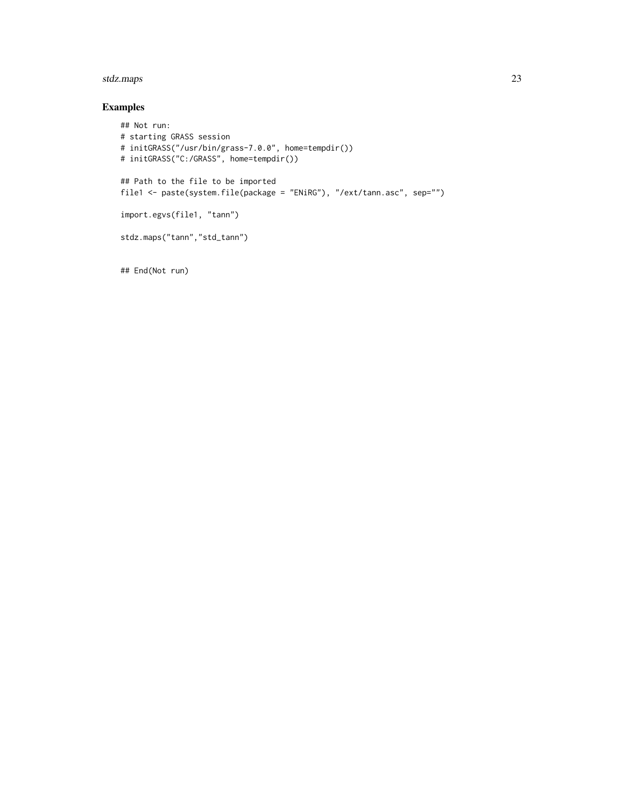#### stdz.maps 23

# Examples

```
## Not run:
# starting GRASS session
# initGRASS("/usr/bin/grass-7.0.0", home=tempdir())
# initGRASS("C:/GRASS", home=tempdir())
## Path to the file to be imported
file1 <- paste(system.file(package = "ENiRG"), "/ext/tann.asc", sep="")
import.egvs(file1, "tann")
stdz.maps("tann","std_tann")
```
## End(Not run)